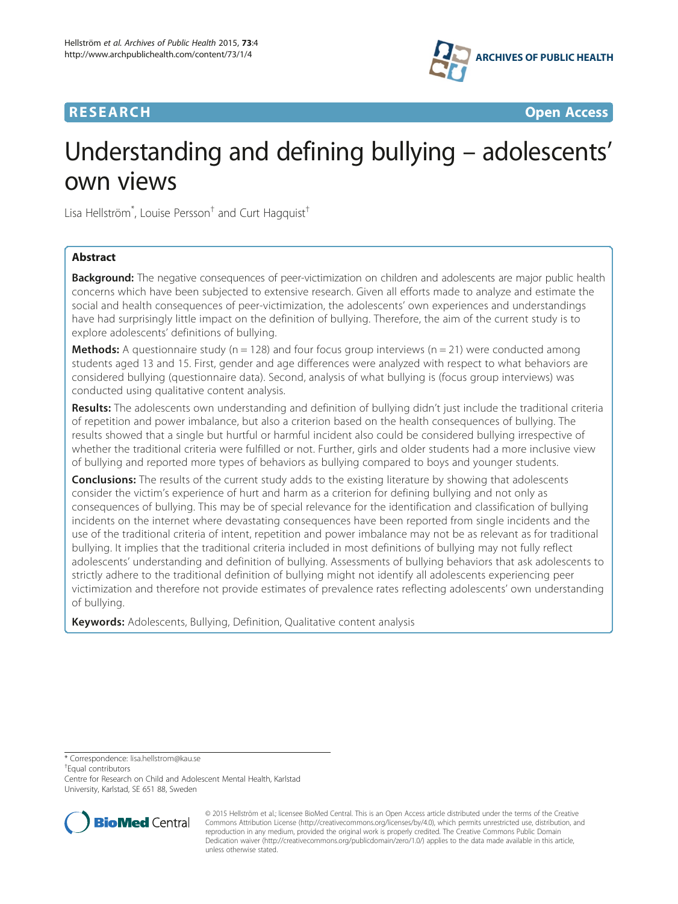# **RESEARCH RESEARCH** *CHECK CHECK CHECK CHECK CHECK CHECK CHECK CHECK CHECK CHECK CHECK CHECK CHECK CHECK CHECK CHECK CHECK CHECK CHECK CHECK CHECK CHECK CHECK CHECK CHECK CHECK CHECK CHECK CHECK CHECK CHECK CHECK CHECK*



# Understanding and defining bullying – adolescents' own views

Lisa Hellström<sup>\*</sup>, Louise Persson<sup>†</sup> and Curt Hagquist<sup>†</sup>

# Abstract

**Background:** The negative consequences of peer-victimization on children and adolescents are major public health concerns which have been subjected to extensive research. Given all efforts made to analyze and estimate the social and health consequences of peer-victimization, the adolescents' own experiences and understandings have had surprisingly little impact on the definition of bullying. Therefore, the aim of the current study is to explore adolescents' definitions of bullying.

**Methods:** A questionnaire study ( $n = 128$ ) and four focus group interviews ( $n = 21$ ) were conducted among students aged 13 and 15. First, gender and age differences were analyzed with respect to what behaviors are considered bullying (questionnaire data). Second, analysis of what bullying is (focus group interviews) was conducted using qualitative content analysis.

Results: The adolescents own understanding and definition of bullying didn't just include the traditional criteria of repetition and power imbalance, but also a criterion based on the health consequences of bullying. The results showed that a single but hurtful or harmful incident also could be considered bullying irrespective of whether the traditional criteria were fulfilled or not. Further, girls and older students had a more inclusive view of bullying and reported more types of behaviors as bullying compared to boys and younger students.

**Conclusions:** The results of the current study adds to the existing literature by showing that adolescents consider the victim's experience of hurt and harm as a criterion for defining bullying and not only as consequences of bullying. This may be of special relevance for the identification and classification of bullying incidents on the internet where devastating consequences have been reported from single incidents and the use of the traditional criteria of intent, repetition and power imbalance may not be as relevant as for traditional bullying. It implies that the traditional criteria included in most definitions of bullying may not fully reflect adolescents' understanding and definition of bullying. Assessments of bullying behaviors that ask adolescents to strictly adhere to the traditional definition of bullying might not identify all adolescents experiencing peer victimization and therefore not provide estimates of prevalence rates reflecting adolescents' own understanding of bullying.

Keywords: Adolescents, Bullying, Definition, Qualitative content analysis

\* Correspondence: [lisa.hellstrom@kau.se](mailto:lisa.hellstrom@kau.se) †

Equal contributors

Centre for Research on Child and Adolescent Mental Health, Karlstad University, Karlstad, SE 651 88, Sweden



© 2015 Hellström et al.; licensee BioMed Central. This is an Open Access article distributed under the terms of the Creative Commons Attribution License [\(http://creativecommons.org/licenses/by/4.0\)](http://creativecommons.org/licenses/by/4.0), which permits unrestricted use, distribution, and reproduction in any medium, provided the original work is properly credited. The Creative Commons Public Domain Dedication waiver [\(http://creativecommons.org/publicdomain/zero/1.0/](http://creativecommons.org/publicdomain/zero/1.0/)) applies to the data made available in this article, unless otherwise stated.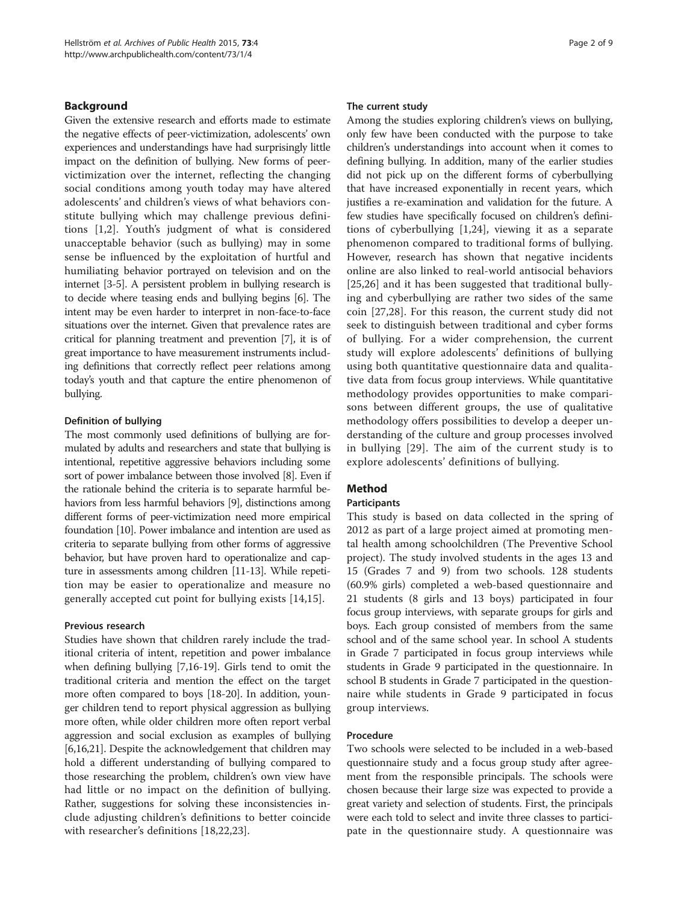# Background

Given the extensive research and efforts made to estimate the negative effects of peer-victimization, adolescents' own experiences and understandings have had surprisingly little impact on the definition of bullying. New forms of peervictimization over the internet, reflecting the changing social conditions among youth today may have altered adolescents' and children's views of what behaviors constitute bullying which may challenge previous definitions [[1,2\]](#page-7-0). Youth's judgment of what is considered unacceptable behavior (such as bullying) may in some sense be influenced by the exploitation of hurtful and humiliating behavior portrayed on television and on the internet [\[3-](#page-7-0)[5\]](#page-8-0). A persistent problem in bullying research is to decide where teasing ends and bullying begins [\[6](#page-8-0)]. The intent may be even harder to interpret in non-face-to-face situations over the internet. Given that prevalence rates are critical for planning treatment and prevention [\[7\]](#page-8-0), it is of great importance to have measurement instruments including definitions that correctly reflect peer relations among today's youth and that capture the entire phenomenon of bullying.

#### Definition of bullying

The most commonly used definitions of bullying are formulated by adults and researchers and state that bullying is intentional, repetitive aggressive behaviors including some sort of power imbalance between those involved [\[8](#page-8-0)]. Even if the rationale behind the criteria is to separate harmful behaviors from less harmful behaviors [\[9\]](#page-8-0), distinctions among different forms of peer-victimization need more empirical foundation [\[10](#page-8-0)]. Power imbalance and intention are used as criteria to separate bullying from other forms of aggressive behavior, but have proven hard to operationalize and capture in assessments among children [[11-13\]](#page-8-0). While repetition may be easier to operationalize and measure no generally accepted cut point for bullying exists [[14,15\]](#page-8-0).

#### Previous research

Studies have shown that children rarely include the traditional criteria of intent, repetition and power imbalance when defining bullying [\[7,16-19\]](#page-8-0). Girls tend to omit the traditional criteria and mention the effect on the target more often compared to boys [\[18-20\]](#page-8-0). In addition, younger children tend to report physical aggression as bullying more often, while older children more often report verbal aggression and social exclusion as examples of bullying [[6,16,21\]](#page-8-0). Despite the acknowledgement that children may hold a different understanding of bullying compared to those researching the problem, children's own view have had little or no impact on the definition of bullying. Rather, suggestions for solving these inconsistencies include adjusting children's definitions to better coincide with researcher's definitions [[18,22,23](#page-8-0)].

#### The current study

Among the studies exploring children's views on bullying, only few have been conducted with the purpose to take children's understandings into account when it comes to defining bullying. In addition, many of the earlier studies did not pick up on the different forms of cyberbullying that have increased exponentially in recent years, which justifies a re-examination and validation for the future. A few studies have specifically focused on children's definitions of cyberbullying [[1](#page-7-0)[,24](#page-8-0)], viewing it as a separate phenomenon compared to traditional forms of bullying. However, research has shown that negative incidents online are also linked to real-world antisocial behaviors [[25,26](#page-8-0)] and it has been suggested that traditional bullying and cyberbullying are rather two sides of the same coin [\[27](#page-8-0),[28\]](#page-8-0). For this reason, the current study did not seek to distinguish between traditional and cyber forms of bullying. For a wider comprehension, the current study will explore adolescents' definitions of bullying using both quantitative questionnaire data and qualitative data from focus group interviews. While quantitative methodology provides opportunities to make comparisons between different groups, the use of qualitative methodology offers possibilities to develop a deeper understanding of the culture and group processes involved in bullying [\[29\]](#page-8-0). The aim of the current study is to explore adolescents' definitions of bullying.

#### Method

#### **Participants**

This study is based on data collected in the spring of 2012 as part of a large project aimed at promoting mental health among schoolchildren (The Preventive School project). The study involved students in the ages 13 and 15 (Grades 7 and 9) from two schools. 128 students (60.9% girls) completed a web-based questionnaire and 21 students (8 girls and 13 boys) participated in four focus group interviews, with separate groups for girls and boys. Each group consisted of members from the same school and of the same school year. In school A students in Grade 7 participated in focus group interviews while students in Grade 9 participated in the questionnaire. In school B students in Grade 7 participated in the questionnaire while students in Grade 9 participated in focus group interviews.

# Procedure

Two schools were selected to be included in a web-based questionnaire study and a focus group study after agreement from the responsible principals. The schools were chosen because their large size was expected to provide a great variety and selection of students. First, the principals were each told to select and invite three classes to participate in the questionnaire study. A questionnaire was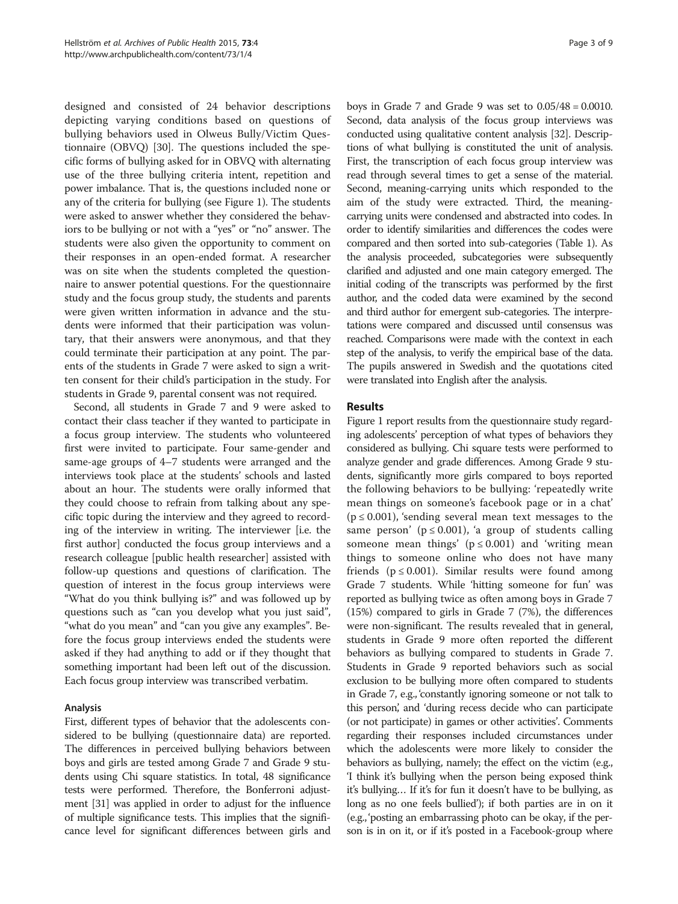designed and consisted of 24 behavior descriptions depicting varying conditions based on questions of bullying behaviors used in Olweus Bully/Victim Questionnaire (OBVQ) [[30](#page-8-0)]. The questions included the specific forms of bullying asked for in OBVQ with alternating use of the three bullying criteria intent, repetition and power imbalance. That is, the questions included none or any of the criteria for bullying (see Figure [1](#page-3-0)). The students were asked to answer whether they considered the behaviors to be bullying or not with a "yes" or "no" answer. The students were also given the opportunity to comment on their responses in an open-ended format. A researcher was on site when the students completed the questionnaire to answer potential questions. For the questionnaire study and the focus group study, the students and parents were given written information in advance and the students were informed that their participation was voluntary, that their answers were anonymous, and that they could terminate their participation at any point. The parents of the students in Grade 7 were asked to sign a written consent for their child's participation in the study. For students in Grade 9, parental consent was not required.

Second, all students in Grade 7 and 9 were asked to contact their class teacher if they wanted to participate in a focus group interview. The students who volunteered first were invited to participate. Four same-gender and same-age groups of 4–7 students were arranged and the interviews took place at the students' schools and lasted about an hour. The students were orally informed that they could choose to refrain from talking about any specific topic during the interview and they agreed to recording of the interview in writing. The interviewer [i.e. the first author] conducted the focus group interviews and a research colleague [public health researcher] assisted with follow-up questions and questions of clarification. The question of interest in the focus group interviews were "What do you think bullying is?" and was followed up by questions such as "can you develop what you just said", "what do you mean" and "can you give any examples". Before the focus group interviews ended the students were asked if they had anything to add or if they thought that something important had been left out of the discussion. Each focus group interview was transcribed verbatim.

# Analysis

First, different types of behavior that the adolescents considered to be bullying (questionnaire data) are reported. The differences in perceived bullying behaviors between boys and girls are tested among Grade 7 and Grade 9 students using Chi square statistics. In total, 48 significance tests were performed. Therefore, the Bonferroni adjustment [[31](#page-8-0)] was applied in order to adjust for the influence of multiple significance tests. This implies that the significance level for significant differences between girls and

boys in Grade 7 and Grade 9 was set to  $0.05/48 = 0.0010$ . Second, data analysis of the focus group interviews was conducted using qualitative content analysis [\[32\]](#page-8-0). Descriptions of what bullying is constituted the unit of analysis. First, the transcription of each focus group interview was read through several times to get a sense of the material. Second, meaning-carrying units which responded to the aim of the study were extracted. Third, the meaningcarrying units were condensed and abstracted into codes. In order to identify similarities and differences the codes were compared and then sorted into sub-categories (Table [1\)](#page-4-0). As the analysis proceeded, subcategories were subsequently clarified and adjusted and one main category emerged. The initial coding of the transcripts was performed by the first author, and the coded data were examined by the second and third author for emergent sub-categories. The interpretations were compared and discussed until consensus was reached. Comparisons were made with the context in each step of the analysis, to verify the empirical base of the data. The pupils answered in Swedish and the quotations cited were translated into English after the analysis.

# Results

Figure [1](#page-3-0) report results from the questionnaire study regarding adolescents' perception of what types of behaviors they considered as bullying. Chi square tests were performed to analyze gender and grade differences. Among Grade 9 students, significantly more girls compared to boys reported the following behaviors to be bullying: 'repeatedly write mean things on someone's facebook page or in a chat'  $(p \le 0.001)$ , 'sending several mean text messages to the same person' ( $p \le 0.001$ ), 'a group of students calling someone mean things'  $(p \le 0.001)$  and 'writing mean things to someone online who does not have many friends ( $p \le 0.001$ ). Similar results were found among Grade 7 students. While 'hitting someone for fun' was reported as bullying twice as often among boys in Grade 7 (15%) compared to girls in Grade 7 (7%), the differences were non-significant. The results revealed that in general, students in Grade 9 more often reported the different behaviors as bullying compared to students in Grade 7. Students in Grade 9 reported behaviors such as social exclusion to be bullying more often compared to students in Grade 7, e.g., 'constantly ignoring someone or not talk to this person, and 'during recess decide who can participate (or not participate) in games or other activities'. Comments regarding their responses included circumstances under which the adolescents were more likely to consider the behaviors as bullying, namely; the effect on the victim (e.g., 'I think it's bullying when the person being exposed think it's bullying… If it's for fun it doesn't have to be bullying, as long as no one feels bullied'); if both parties are in on it (e.g., 'posting an embarrassing photo can be okay, if the person is in on it, or if it's posted in a Facebook-group where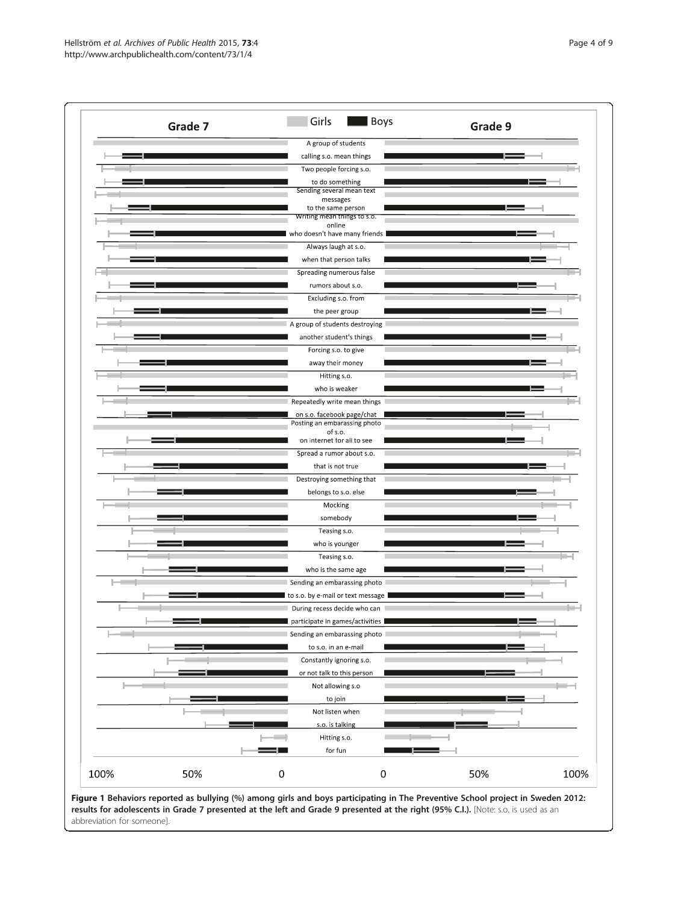Figure 1 Behaviors reported as bullying (%) among girls and boys participating in The Preventive School project in Sweden 2012: results for adolescents in Grade 7 presented at the left and Grade 9 presented at the right (95% C.I.). [Note: s.o. is used as an abbreviation for someone].

<span id="page-3-0"></span>

| Grade 7 | Girls<br>Boys                           | Grade 9 |
|---------|-----------------------------------------|---------|
|         | A group of students                     |         |
|         | calling s.o. mean things                |         |
|         | Two people forcing s.o.                 |         |
|         | to do something                         |         |
|         | Sending several mean text               |         |
|         | messages<br>to the same person          |         |
|         | Writing mean things to s.o.             |         |
|         | online<br>who doesn't have many friends |         |
|         | Always laugh at s.o.                    |         |
|         | when that person talks                  |         |
|         | Spreading numerous false                |         |
|         | rumors about s.o.                       |         |
|         | Excluding s.o. from                     |         |
|         | the peer group                          |         |
|         | A group of students destroying          |         |
|         | another student's things                |         |
|         | Forcing s.o. to give                    |         |
|         | away their money                        |         |
|         | Hitting s.o.                            |         |
|         | who is weaker                           |         |
|         | Repeatedly write mean things            |         |
|         | on s.o. facebook page/chat              |         |
|         | Posting an embarassing photo            |         |
|         | of s.o.<br>on internet for all to see   |         |
|         | Spread a rumor about s.o.               |         |
|         | that is not true                        |         |
|         | Destroying something that               |         |
|         | belongs to s.o. else                    |         |
|         | Mocking                                 |         |
|         | somebody                                |         |
|         | Teasing s.o.                            |         |
|         | who is younger                          |         |
|         | Teasing s.o.                            |         |
|         | who is the same age                     |         |
|         | Sending an embarassing photo            |         |
|         | to s.o. by e-mail or text message       |         |
|         | During recess decide who can            |         |
|         | participate in games/activities         |         |
|         | Sending an embarassing photo            |         |
|         | to s.o. in an e-mail                    |         |
|         | Constantly ignoring s.o.                |         |
|         | or not talk to this person              |         |
|         | Not allowing s.o                        |         |
|         | to join                                 |         |
|         | Not listen when                         |         |
|         | s.o. is talking                         |         |
|         | Hitting s.o.                            |         |
|         | for fun                                 |         |
|         |                                         |         |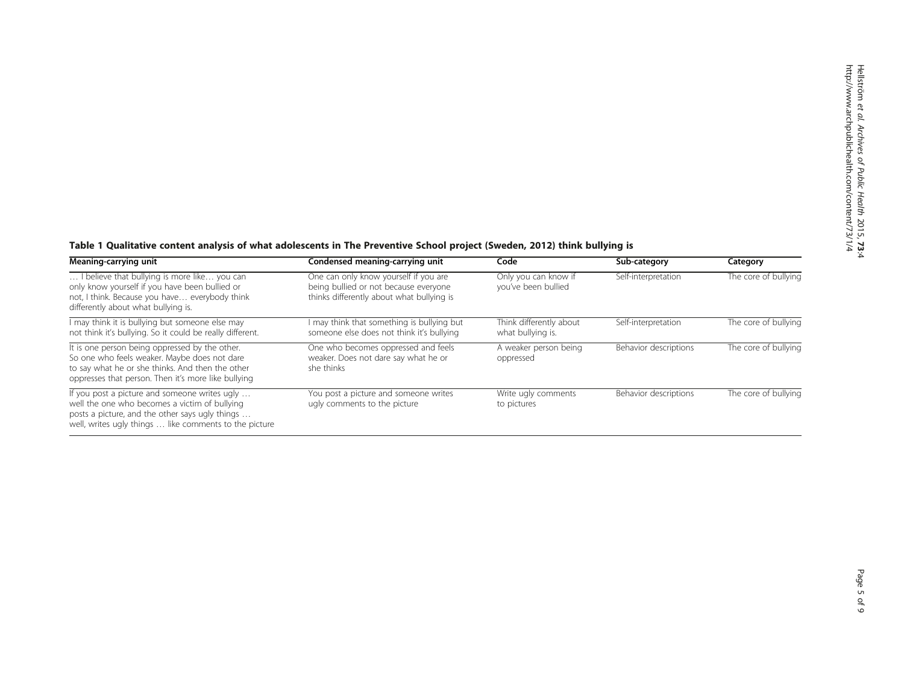# <span id="page-4-0"></span>Table 1 Qualitative content analysis of what adolescents in The Preventive School project (Sweden, 2012) think bullying is

| Meaning-carrying unit                                                                                                                                                                                       | Condensed meaning-carrying unit                                                                                             | Code                                         | Sub-category          | Category             |
|-------------------------------------------------------------------------------------------------------------------------------------------------------------------------------------------------------------|-----------------------------------------------------------------------------------------------------------------------------|----------------------------------------------|-----------------------|----------------------|
| I believe that bullying is more like you can<br>only know yourself if you have been bullied or<br>not, I think. Because you have everybody think<br>differently about what bullying is.                     | One can only know yourself if you are<br>being bullied or not because everyone<br>thinks differently about what bullying is | Only you can know if<br>you've been bullied  | Self-interpretation   | The core of bullying |
| may think it is bullying but someone else may<br>not think it's bullying. So it could be really different.                                                                                                  | I may think that something is bullying but<br>someone else does not think it's bullying                                     | Think differently about<br>what bullying is. | Self-interpretation   | The core of bullying |
| It is one person being oppressed by the other.<br>So one who feels weaker. Maybe does not dare<br>to say what he or she thinks. And then the other<br>oppresses that person. Then it's more like bullying   | One who becomes oppressed and feels<br>weaker. Does not dare say what he or<br>she thinks                                   | A weaker person being<br>oppressed           | Behavior descriptions | The core of bullying |
| If you post a picture and someone writes ugly<br>well the one who becomes a victim of bullying<br>posts a picture, and the other says ugly things<br>well, writes ugly things  like comments to the picture | You post a picture and someone writes<br>ugly comments to the picture                                                       | Write ugly comments<br>to pictures           | Behavior descriptions | The core of bullying |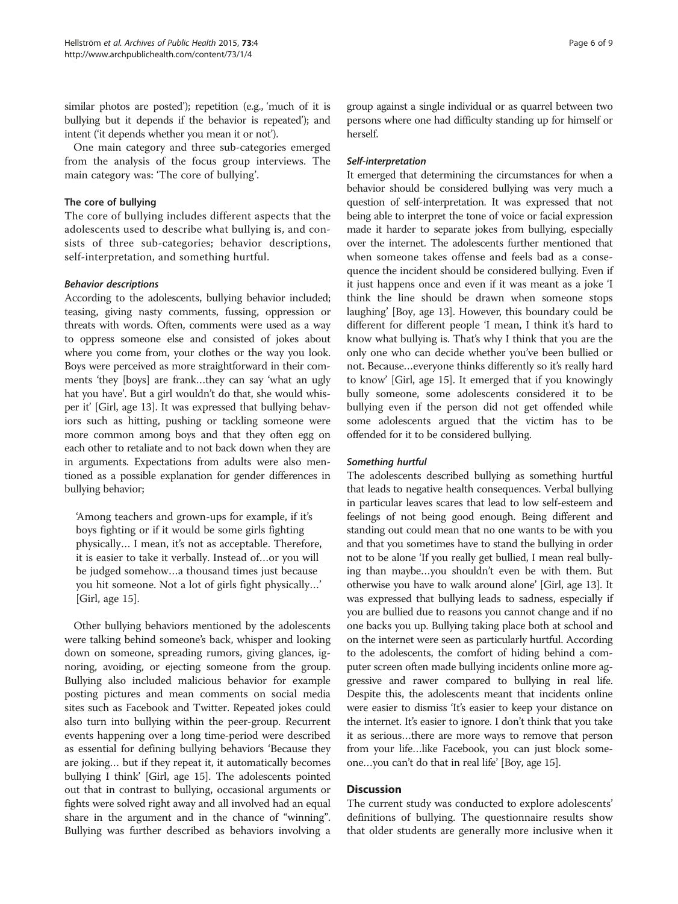similar photos are posted'); repetition (e.g., 'much of it is bullying but it depends if the behavior is repeated'); and intent ('it depends whether you mean it or not').

One main category and three sub-categories emerged from the analysis of the focus group interviews. The main category was: 'The core of bullying'.

### The core of bullying

The core of bullying includes different aspects that the adolescents used to describe what bullying is, and consists of three sub-categories; behavior descriptions, self-interpretation, and something hurtful.

### Behavior descriptions

According to the adolescents, bullying behavior included; teasing, giving nasty comments, fussing, oppression or threats with words. Often, comments were used as a way to oppress someone else and consisted of jokes about where you come from, your clothes or the way you look. Boys were perceived as more straightforward in their comments 'they [boys] are frank…they can say 'what an ugly hat you have'. But a girl wouldn't do that, she would whisper it' [Girl, age 13]. It was expressed that bullying behaviors such as hitting, pushing or tackling someone were more common among boys and that they often egg on each other to retaliate and to not back down when they are in arguments. Expectations from adults were also mentioned as a possible explanation for gender differences in bullying behavior;

'Among teachers and grown-ups for example, if it's boys fighting or if it would be some girls fighting physically… I mean, it's not as acceptable. Therefore, it is easier to take it verbally. Instead of…or you will be judged somehow…a thousand times just because you hit someone. Not a lot of girls fight physically…' [Girl, age 15].

Other bullying behaviors mentioned by the adolescents were talking behind someone's back, whisper and looking down on someone, spreading rumors, giving glances, ignoring, avoiding, or ejecting someone from the group. Bullying also included malicious behavior for example posting pictures and mean comments on social media sites such as Facebook and Twitter. Repeated jokes could also turn into bullying within the peer-group. Recurrent events happening over a long time-period were described as essential for defining bullying behaviors 'Because they are joking… but if they repeat it, it automatically becomes bullying I think' [Girl, age 15]. The adolescents pointed out that in contrast to bullying, occasional arguments or fights were solved right away and all involved had an equal share in the argument and in the chance of "winning". Bullying was further described as behaviors involving a

group against a single individual or as quarrel between two persons where one had difficulty standing up for himself or herself.

#### Self-interpretation

It emerged that determining the circumstances for when a behavior should be considered bullying was very much a question of self-interpretation. It was expressed that not being able to interpret the tone of voice or facial expression made it harder to separate jokes from bullying, especially over the internet. The adolescents further mentioned that when someone takes offense and feels bad as a consequence the incident should be considered bullying. Even if it just happens once and even if it was meant as a joke 'I think the line should be drawn when someone stops laughing' [Boy, age 13]. However, this boundary could be different for different people 'I mean, I think it's hard to know what bullying is. That's why I think that you are the only one who can decide whether you've been bullied or not. Because…everyone thinks differently so it's really hard to know' [Girl, age 15]. It emerged that if you knowingly bully someone, some adolescents considered it to be bullying even if the person did not get offended while some adolescents argued that the victim has to be offended for it to be considered bullying.

#### Something hurtful

The adolescents described bullying as something hurtful that leads to negative health consequences. Verbal bullying in particular leaves scares that lead to low self-esteem and feelings of not being good enough. Being different and standing out could mean that no one wants to be with you and that you sometimes have to stand the bullying in order not to be alone 'If you really get bullied, I mean real bullying than maybe…you shouldn't even be with them. But otherwise you have to walk around alone' [Girl, age 13]. It was expressed that bullying leads to sadness, especially if you are bullied due to reasons you cannot change and if no one backs you up. Bullying taking place both at school and on the internet were seen as particularly hurtful. According to the adolescents, the comfort of hiding behind a computer screen often made bullying incidents online more aggressive and rawer compared to bullying in real life. Despite this, the adolescents meant that incidents online were easier to dismiss 'It's easier to keep your distance on the internet. It's easier to ignore. I don't think that you take it as serious…there are more ways to remove that person from your life…like Facebook, you can just block someone…you can't do that in real life' [Boy, age 15].

# **Discussion**

The current study was conducted to explore adolescents' definitions of bullying. The questionnaire results show that older students are generally more inclusive when it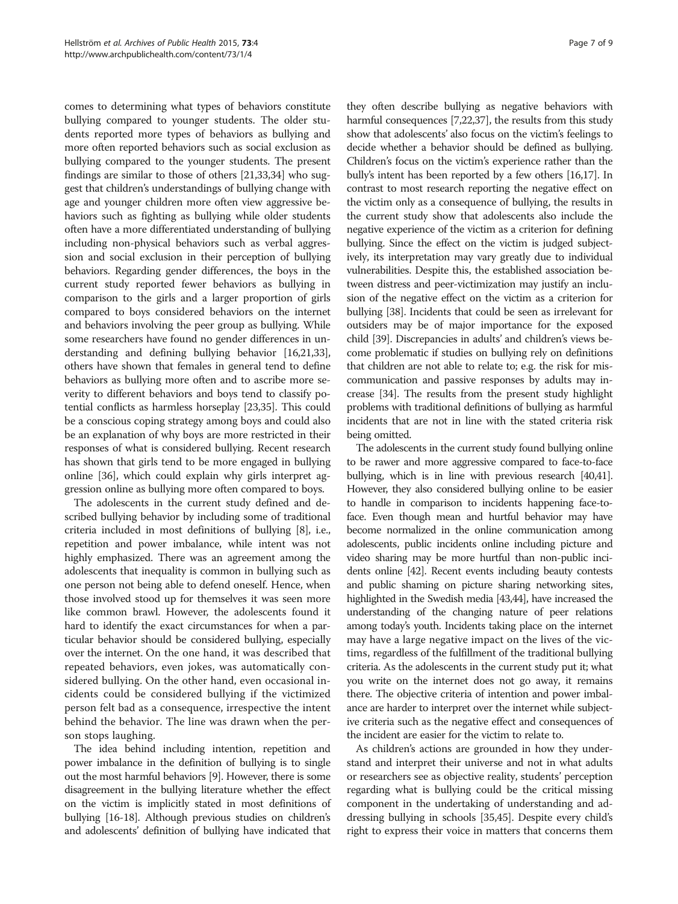comes to determining what types of behaviors constitute bullying compared to younger students. The older students reported more types of behaviors as bullying and more often reported behaviors such as social exclusion as bullying compared to the younger students. The present findings are similar to those of others [\[21,33,34](#page-8-0)] who suggest that children's understandings of bullying change with age and younger children more often view aggressive behaviors such as fighting as bullying while older students often have a more differentiated understanding of bullying including non-physical behaviors such as verbal aggression and social exclusion in their perception of bullying behaviors. Regarding gender differences, the boys in the current study reported fewer behaviors as bullying in comparison to the girls and a larger proportion of girls compared to boys considered behaviors on the internet and behaviors involving the peer group as bullying. While some researchers have found no gender differences in understanding and defining bullying behavior [\[16,21,33](#page-8-0)], others have shown that females in general tend to define behaviors as bullying more often and to ascribe more severity to different behaviors and boys tend to classify potential conflicts as harmless horseplay [\[23,35\]](#page-8-0). This could be a conscious coping strategy among boys and could also be an explanation of why boys are more restricted in their responses of what is considered bullying. Recent research has shown that girls tend to be more engaged in bullying online [\[36\]](#page-8-0), which could explain why girls interpret aggression online as bullying more often compared to boys.

The adolescents in the current study defined and described bullying behavior by including some of traditional criteria included in most definitions of bullying [\[8](#page-8-0)], i.e., repetition and power imbalance, while intent was not highly emphasized. There was an agreement among the adolescents that inequality is common in bullying such as one person not being able to defend oneself. Hence, when those involved stood up for themselves it was seen more like common brawl. However, the adolescents found it hard to identify the exact circumstances for when a particular behavior should be considered bullying, especially over the internet. On the one hand, it was described that repeated behaviors, even jokes, was automatically considered bullying. On the other hand, even occasional incidents could be considered bullying if the victimized person felt bad as a consequence, irrespective the intent behind the behavior. The line was drawn when the person stops laughing.

The idea behind including intention, repetition and power imbalance in the definition of bullying is to single out the most harmful behaviors [\[9](#page-8-0)]. However, there is some disagreement in the bullying literature whether the effect on the victim is implicitly stated in most definitions of bullying [[16](#page-8-0)-[18](#page-8-0)]. Although previous studies on children's and adolescents' definition of bullying have indicated that

they often describe bullying as negative behaviors with harmful consequences [\[7,22,37\]](#page-8-0), the results from this study show that adolescents' also focus on the victim's feelings to decide whether a behavior should be defined as bullying. Children's focus on the victim's experience rather than the bully's intent has been reported by a few others [[16,17\]](#page-8-0). In contrast to most research reporting the negative effect on the victim only as a consequence of bullying, the results in the current study show that adolescents also include the negative experience of the victim as a criterion for defining bullying. Since the effect on the victim is judged subjectively, its interpretation may vary greatly due to individual vulnerabilities. Despite this, the established association between distress and peer-victimization may justify an inclusion of the negative effect on the victim as a criterion for bullying [\[38\]](#page-8-0). Incidents that could be seen as irrelevant for outsiders may be of major importance for the exposed child [\[39\]](#page-8-0). Discrepancies in adults' and children's views become problematic if studies on bullying rely on definitions that children are not able to relate to; e.g. the risk for miscommunication and passive responses by adults may increase [\[34\]](#page-8-0). The results from the present study highlight problems with traditional definitions of bullying as harmful incidents that are not in line with the stated criteria risk being omitted.

The adolescents in the current study found bullying online to be rawer and more aggressive compared to face-to-face bullying, which is in line with previous research [\[40,41](#page-8-0)]. However, they also considered bullying online to be easier to handle in comparison to incidents happening face-toface. Even though mean and hurtful behavior may have become normalized in the online communication among adolescents, public incidents online including picture and video sharing may be more hurtful than non-public incidents online [[42\]](#page-8-0). Recent events including beauty contests and public shaming on picture sharing networking sites, highlighted in the Swedish media [\[43,44](#page-8-0)], have increased the understanding of the changing nature of peer relations among today's youth. Incidents taking place on the internet may have a large negative impact on the lives of the victims, regardless of the fulfillment of the traditional bullying criteria. As the adolescents in the current study put it; what you write on the internet does not go away, it remains there. The objective criteria of intention and power imbalance are harder to interpret over the internet while subjective criteria such as the negative effect and consequences of the incident are easier for the victim to relate to.

As children's actions are grounded in how they understand and interpret their universe and not in what adults or researchers see as objective reality, students' perception regarding what is bullying could be the critical missing component in the undertaking of understanding and addressing bullying in schools [\[35,45](#page-8-0)]. Despite every child's right to express their voice in matters that concerns them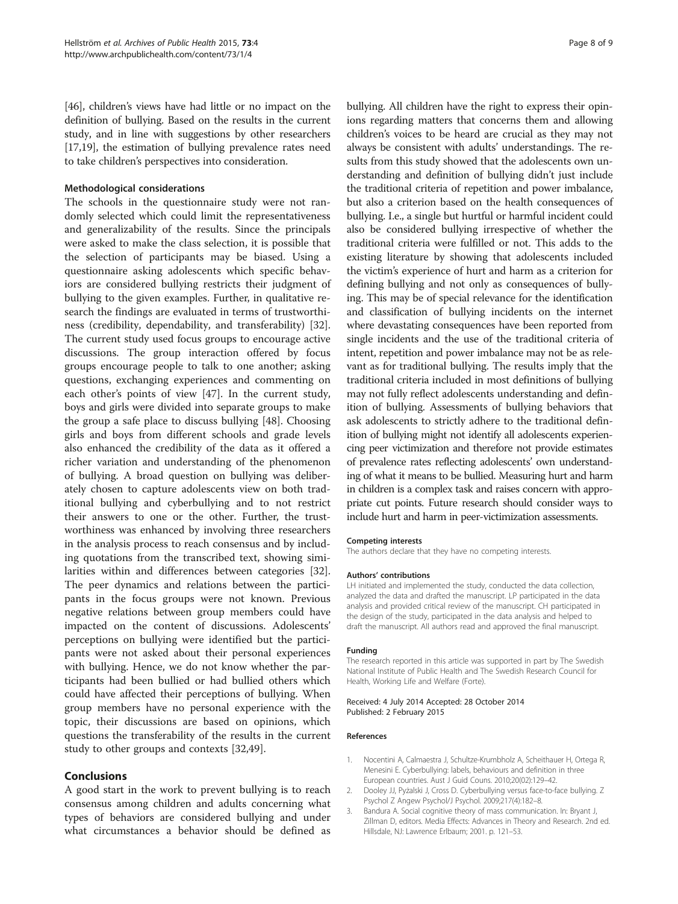<span id="page-7-0"></span>[[46](#page-8-0)], children's views have had little or no impact on the definition of bullying. Based on the results in the current study, and in line with suggestions by other researchers [[17,19](#page-8-0)], the estimation of bullying prevalence rates need to take children's perspectives into consideration.

### Methodological considerations

The schools in the questionnaire study were not randomly selected which could limit the representativeness and generalizability of the results. Since the principals were asked to make the class selection, it is possible that the selection of participants may be biased. Using a questionnaire asking adolescents which specific behaviors are considered bullying restricts their judgment of bullying to the given examples. Further, in qualitative research the findings are evaluated in terms of trustworthiness (credibility, dependability, and transferability) [\[32](#page-8-0)]. The current study used focus groups to encourage active discussions. The group interaction offered by focus groups encourage people to talk to one another; asking questions, exchanging experiences and commenting on each other's points of view [[47\]](#page-8-0). In the current study, boys and girls were divided into separate groups to make the group a safe place to discuss bullying [[48](#page-8-0)]. Choosing girls and boys from different schools and grade levels also enhanced the credibility of the data as it offered a richer variation and understanding of the phenomenon of bullying. A broad question on bullying was deliberately chosen to capture adolescents view on both traditional bullying and cyberbullying and to not restrict their answers to one or the other. Further, the trustworthiness was enhanced by involving three researchers in the analysis process to reach consensus and by including quotations from the transcribed text, showing similarities within and differences between categories [\[32](#page-8-0)]. The peer dynamics and relations between the participants in the focus groups were not known. Previous negative relations between group members could have impacted on the content of discussions. Adolescents' perceptions on bullying were identified but the participants were not asked about their personal experiences with bullying. Hence, we do not know whether the participants had been bullied or had bullied others which could have affected their perceptions of bullying. When group members have no personal experience with the topic, their discussions are based on opinions, which questions the transferability of the results in the current study to other groups and contexts [[32,49](#page-8-0)].

# Conclusions

A good start in the work to prevent bullying is to reach consensus among children and adults concerning what types of behaviors are considered bullying and under what circumstances a behavior should be defined as

bullying. All children have the right to express their opinions regarding matters that concerns them and allowing children's voices to be heard are crucial as they may not always be consistent with adults' understandings. The results from this study showed that the adolescents own understanding and definition of bullying didn't just include the traditional criteria of repetition and power imbalance, but also a criterion based on the health consequences of bullying. I.e., a single but hurtful or harmful incident could also be considered bullying irrespective of whether the traditional criteria were fulfilled or not. This adds to the existing literature by showing that adolescents included the victim's experience of hurt and harm as a criterion for defining bullying and not only as consequences of bullying. This may be of special relevance for the identification and classification of bullying incidents on the internet where devastating consequences have been reported from single incidents and the use of the traditional criteria of intent, repetition and power imbalance may not be as relevant as for traditional bullying. The results imply that the traditional criteria included in most definitions of bullying may not fully reflect adolescents understanding and definition of bullying. Assessments of bullying behaviors that ask adolescents to strictly adhere to the traditional definition of bullying might not identify all adolescents experiencing peer victimization and therefore not provide estimates of prevalence rates reflecting adolescents' own understanding of what it means to be bullied. Measuring hurt and harm in children is a complex task and raises concern with appropriate cut points. Future research should consider ways to include hurt and harm in peer-victimization assessments.

#### Competing interests

The authors declare that they have no competing interests.

#### Authors' contributions

LH initiated and implemented the study, conducted the data collection, analyzed the data and drafted the manuscript. LP participated in the data analysis and provided critical review of the manuscript. CH participated in the design of the study, participated in the data analysis and helped to draft the manuscript. All authors read and approved the final manuscript.

#### Funding

The research reported in this article was supported in part by The Swedish National Institute of Public Health and The Swedish Research Council for Health, Working Life and Welfare (Forte).

#### Received: 4 July 2014 Accepted: 28 October 2014 Published: 2 February 2015

#### References

- 1. Nocentini A, Calmaestra J, Schultze-Krumbholz A, Scheithauer H, Ortega R, Menesini E. Cyberbullying: labels, behaviours and definition in three European countries. Aust J Guid Couns. 2010;20(02):129–42.
- 2. Dooley JJ, Pyżalski J, Cross D. Cyberbullying versus face-to-face bullying. Z Psychol Z Angew Psychol/J Psychol. 2009;217(4):182–8.
- 3. Bandura A. Social cognitive theory of mass communication. In: Bryant J, Zillman D, editors. Media Effects: Advances in Theory and Research. 2nd ed. Hillsdale, NJ: Lawrence Erlbaum; 2001. p. 121–53.